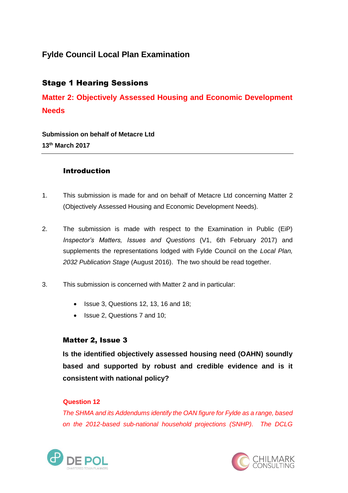# **Fylde Council Local Plan Examination**

# Stage 1 Hearing Sessions

**Matter 2: Objectively Assessed Housing and Economic Development Needs**

**Submission on behalf of Metacre Ltd 13th March 2017**

## **Introduction**

- 1. This submission is made for and on behalf of Metacre Ltd concerning Matter 2 (Objectively Assessed Housing and Economic Development Needs).
- 2. The submission is made with respect to the Examination in Public (EiP) *Inspector's Matters, Issues and Questions* (V1, 6th February 2017) and supplements the representations lodged with Fylde Council on the *Local Plan, 2032 Publication Stage* (August 2016). The two should be read together.
- 3. This submission is concerned with Matter 2 and in particular:
	- Issue 3, Questions 12, 13, 16 and 18;
	- Issue 2, Questions 7 and 10;

## Matter 2, Issue 3

**Is the identified objectively assessed housing need (OAHN) soundly based and supported by robust and credible evidence and is it consistent with national policy?**

### **Question 12**

*The SHMA and its Addendums identify the OAN figure for Fylde as a range, based on the 2012-based sub-national household projections (SNHP). The DCLG* 



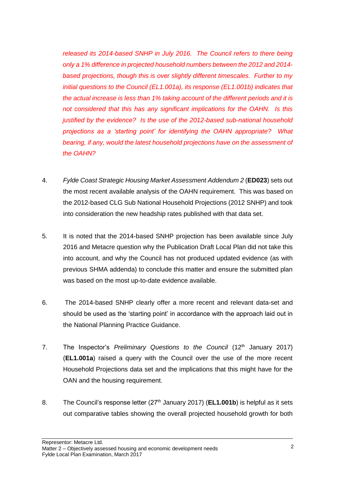*released its 2014-based SNHP in July 2016. The Council refers to there being only a 1% difference in projected household numbers between the 2012 and 2014 based projections, though this is over slightly different timescales. Further to my initial questions to the Council (EL1.001a), its response (EL1.001b) indicates that the actual increase is less than 1% taking account of the different periods and it is not considered that this has any significant implications for the OAHN. Is this justified by the evidence? Is the use of the 2012-based sub-national household projections as a 'starting point' for identifying the OAHN appropriate? What bearing, if any, would the latest household projections have on the assessment of the OAHN?*

- 4. *Fylde Coast Strategic Housing Market Assessment Addendum 2* (**ED023**) sets out the most recent available analysis of the OAHN requirement. This was based on the 2012-based CLG Sub National Household Projections (2012 SNHP) and took into consideration the new headship rates published with that data set.
- 5. It is noted that the 2014-based SNHP projection has been available since July 2016 and Metacre question why the Publication Draft Local Plan did not take this into account, and why the Council has not produced updated evidence (as with previous SHMA addenda) to conclude this matter and ensure the submitted plan was based on the most up-to-date evidence available.
- 6. The 2014-based SNHP clearly offer a more recent and relevant data-set and should be used as the 'starting point' in accordance with the approach laid out in the National Planning Practice Guidance.
- 7. The Inspector's *Preliminary* Questions to the Council (12<sup>th</sup> January 2017) (**EL1.001a**) raised a query with the Council over the use of the more recent Household Projections data set and the implications that this might have for the OAN and the housing requirement.
- 8. The Council's response letter (27<sup>th</sup> January 2017) (**EL1.001b**) is helpful as it sets out comparative tables showing the overall projected household growth for both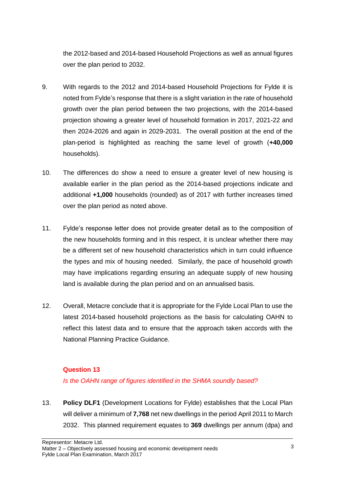the 2012-based and 2014-based Household Projections as well as annual figures over the plan period to 2032.

- 9. With regards to the 2012 and 2014-based Household Projections for Fylde it is noted from Fylde's response that there is a slight variation in the rate of household growth over the plan period between the two projections, with the 2014-based projection showing a greater level of household formation in 2017, 2021-22 and then 2024-2026 and again in 2029-2031. The overall position at the end of the plan-period is highlighted as reaching the same level of growth (**+40,000** households).
- 10. The differences do show a need to ensure a greater level of new housing is available earlier in the plan period as the 2014-based projections indicate and additional **+1,000** households (rounded) as of 2017 with further increases timed over the plan period as noted above.
- 11. Fylde's response letter does not provide greater detail as to the composition of the new households forming and in this respect, it is unclear whether there may be a different set of new household characteristics which in turn could influence the types and mix of housing needed. Similarly, the pace of household growth may have implications regarding ensuring an adequate supply of new housing land is available during the plan period and on an annualised basis.
- 12. Overall, Metacre conclude that it is appropriate for the Fylde Local Plan to use the latest 2014-based household projections as the basis for calculating OAHN to reflect this latest data and to ensure that the approach taken accords with the National Planning Practice Guidance.

#### **Question 13**

*Is the OAHN range of figures identified in the SHMA soundly based?*

13. **Policy DLF1** (Development Locations for Fylde) establishes that the Local Plan will deliver a minimum of **7,768** net new dwellings in the period April 2011 to March 2032. This planned requirement equates to **369** dwellings per annum (dpa) and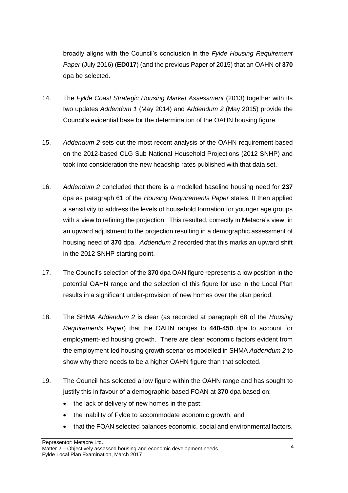broadly aligns with the Council's conclusion in the *Fylde Housing Requirement Paper* (July 2016) (**ED017**) (and the previous Paper of 2015) that an OAHN of **370** dpa be selected.

- 14. The *Fylde Coast Strategic Housing Market Assessment* (2013) together with its two updates *Addendum 1* (May 2014) and *Addendum 2* (May 2015) provide the Council's evidential base for the determination of the OAHN housing figure.
- 15. *Addendum 2* sets out the most recent analysis of the OAHN requirement based on the 2012-based CLG Sub National Household Projections (2012 SNHP) and took into consideration the new headship rates published with that data set.
- 16. *Addendum 2* concluded that there is a modelled baseline housing need for **237** dpa as paragraph 61 of the *Housing Requirements Paper* states. It then applied a sensitivity to address the levels of household formation for younger age groups with a view to refining the projection. This resulted, correctly in Metacre's view, in an upward adjustment to the projection resulting in a demographic assessment of housing need of **370** dpa. *Addendum 2* recorded that this marks an upward shift in the 2012 SNHP starting point.
- 17. The Council's selection of the **370** dpa OAN figure represents a low position in the potential OAHN range and the selection of this figure for use in the Local Plan results in a significant under-provision of new homes over the plan period.
- 18. The SHMA *Addendum 2* is clear (as recorded at paragraph 68 of the *Housing Requirements Paper*) that the OAHN ranges to **440-450** dpa to account for employment-led housing growth. There are clear economic factors evident from the employment-led housing growth scenarios modelled in SHMA *Addendum 2* to show why there needs to be a higher OAHN figure than that selected.
- 19. The Council has selected a low figure within the OAHN range and has sought to justify this in favour of a demographic-based FOAN at **370** dpa based on:
	- the lack of delivery of new homes in the past;
	- the inability of Fylde to accommodate economic growth; and
	- that the FOAN selected balances economic, social and environmental factors.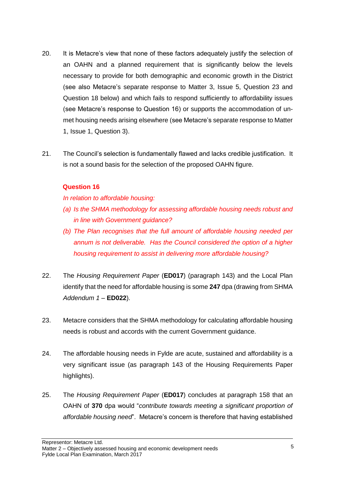- 20. It is Metacre's view that none of these factors adequately justify the selection of an OAHN and a planned requirement that is significantly below the levels necessary to provide for both demographic and economic growth in the District (see also Metacre's separate response to Matter 3, Issue 5, Question 23 and Question 18 below) and which fails to respond sufficiently to affordability issues (see Metacre's response to Question 16) or supports the accommodation of unmet housing needs arising elsewhere (see Metacre's separate response to Matter 1, Issue 1, Question 3).
- 21. The Council's selection is fundamentally flawed and lacks credible justification. It is not a sound basis for the selection of the proposed OAHN figure.

### **Question 16**

*In relation to affordable housing:*

- *(a) Is the SHMA methodology for assessing affordable housing needs robust and in line with Government guidance?*
- *(b) The Plan recognises that the full amount of affordable housing needed per annum is not deliverable. Has the Council considered the option of a higher housing requirement to assist in delivering more affordable housing?*
- 22. The *Housing Requirement Paper* (**ED017**) (paragraph 143) and the Local Plan identify that the need for affordable housing is some **247** dpa (drawing from SHMA *Addendum 1 –* **ED022**).
- 23. Metacre considers that the SHMA methodology for calculating affordable housing needs is robust and accords with the current Government guidance.
- 24. The affordable housing needs in Fylde are acute, sustained and affordability is a very significant issue (as paragraph 143 of the Housing Requirements Paper highlights).
- 25. The *Housing Requirement Paper* (**ED017**) concludes at paragraph 158 that an OAHN of **370** dpa would "*contribute towards meeting a significant proportion of affordable housing need*". Metacre's concern is therefore that having established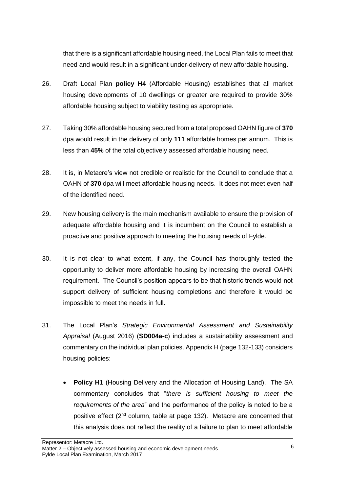that there is a significant affordable housing need, the Local Plan fails to meet that need and would result in a significant under-delivery of new affordable housing.

- 26. Draft Local Plan **policy H4** (Affordable Housing) establishes that all market housing developments of 10 dwellings or greater are required to provide 30% affordable housing subject to viability testing as appropriate.
- 27. Taking 30% affordable housing secured from a total proposed OAHN figure of **370** dpa would result in the delivery of only **111** affordable homes per annum. This is less than **45%** of the total objectively assessed affordable housing need.
- 28. It is, in Metacre's view not credible or realistic for the Council to conclude that a OAHN of **370** dpa will meet affordable housing needs. It does not meet even half of the identified need.
- 29. New housing delivery is the main mechanism available to ensure the provision of adequate affordable housing and it is incumbent on the Council to establish a proactive and positive approach to meeting the housing needs of Fylde.
- 30. It is not clear to what extent, if any, the Council has thoroughly tested the opportunity to deliver more affordable housing by increasing the overall OAHN requirement. The Council's position appears to be that historic trends would not support delivery of sufficient housing completions and therefore it would be impossible to meet the needs in full.
- 31. The Local Plan's *Strategic Environmental Assessment and Sustainability Appraisal* (August 2016) (**SD004a-c**) includes a sustainability assessment and commentary on the individual plan policies. Appendix H (page 132-133) considers housing policies:
	- **Policy H1** (Housing Delivery and the Allocation of Housing Land). The SA commentary concludes that "*there is sufficient housing to meet the requirements of the area*" and the performance of the policy is noted to be a positive effect ( $2<sup>nd</sup>$  column, table at page 132). Metacre are concerned that this analysis does not reflect the reality of a failure to plan to meet affordable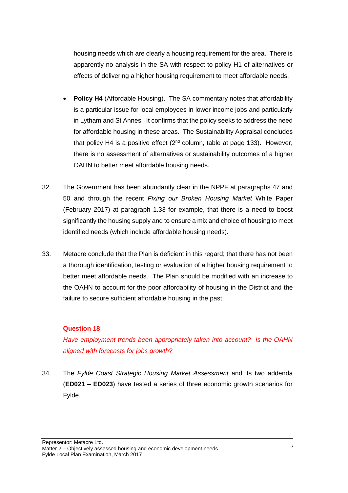housing needs which are clearly a housing requirement for the area. There is apparently no analysis in the SA with respect to policy H1 of alternatives or effects of delivering a higher housing requirement to meet affordable needs.

- **Policy H4** (Affordable Housing). The SA commentary notes that affordability is a particular issue for local employees in lower income jobs and particularly in Lytham and St Annes. It confirms that the policy seeks to address the need for affordable housing in these areas. The Sustainability Appraisal concludes that policy H4 is a positive effect  $(2^{nd}$  column, table at page 133). However, there is no assessment of alternatives or sustainability outcomes of a higher OAHN to better meet affordable housing needs.
- 32. The Government has been abundantly clear in the NPPF at paragraphs 47 and 50 and through the recent *Fixing our Broken Housing Market* White Paper (February 2017) at paragraph 1.33 for example, that there is a need to boost significantly the housing supply and to ensure a mix and choice of housing to meet identified needs (which include affordable housing needs).
- 33. Metacre conclude that the Plan is deficient in this regard; that there has not been a thorough identification, testing or evaluation of a higher housing requirement to better meet affordable needs. The Plan should be modified with an increase to the OAHN to account for the poor affordability of housing in the District and the failure to secure sufficient affordable housing in the past.

#### **Question 18**

*Have employment trends been appropriately taken into account? Is the OAHN aligned with forecasts for jobs growth?*

34. The *Fylde Coast Strategic Housing Market Assessment* and its two addenda (**ED021 – ED023**) have tested a series of three economic growth scenarios for Fylde.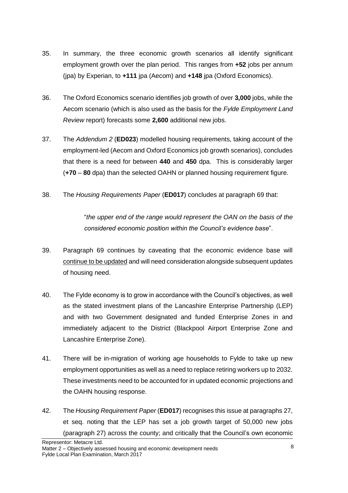- 35. In summary, the three economic growth scenarios all identify significant employment growth over the plan period. This ranges from **+52** jobs per annum (jpa) by Experian, to **+111** jpa (Aecom) and **+148** jpa (Oxford Economics).
- 36. The Oxford Economics scenario identifies job growth of over **3,000** jobs, while the Aecom scenario (which is also used as the basis for the *Fylde Employment Land Review* report) forecasts some **2,600** additional new jobs.
- 37. The *Addendum 2* (**ED023**) modelled housing requirements, taking account of the employment-led (Aecom and Oxford Economics job growth scenarios), concludes that there is a need for between **440** and **450** dpa. This is considerably larger (**+70** – **80** dpa) than the selected OAHN or planned housing requirement figure.
- 38. The *Housing Requirements Paper* (**ED017**) concludes at paragraph 69 that:

"*the upper end of the range would represent the OAN on the basis of the considered economic position within the Council's evidence base*".

- 39. Paragraph 69 continues by caveating that the economic evidence base will continue to be updated and will need consideration alongside subsequent updates of housing need.
- 40. The Fylde economy is to grow in accordance with the Council's objectives, as well as the stated investment plans of the Lancashire Enterprise Partnership (LEP) and with two Government designated and funded Enterprise Zones in and immediately adjacent to the District (Blackpool Airport Enterprise Zone and Lancashire Enterprise Zone).
- 41. There will be in-migration of working age households to Fylde to take up new employment opportunities as well as a need to replace retiring workers up to 2032. These investments need to be accounted for in updated economic projections and the OAHN housing response.
- 42. The *Housing Requirement Paper* (**ED017**) recognises this issue at paragraphs 27, et seq. noting that the LEP has set a job growth target of 50,000 new jobs (paragraph 27) across the county; and critically that the Council's own economic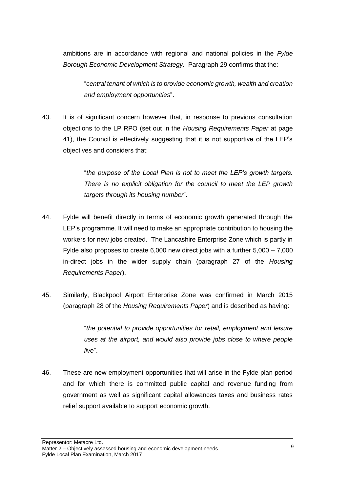ambitions are in accordance with regional and national policies in the *Fylde Borough Economic Development Strategy*. Paragraph 29 confirms that the:

"*central tenant of which is to provide economic growth, wealth and creation and employment opportunities*".

43. It is of significant concern however that, in response to previous consultation objections to the LP RPO (set out in the *Housing Requirements Paper* at page 41), the Council is effectively suggesting that it is not supportive of the LEP's objectives and considers that:

> "*the purpose of the Local Plan is not to meet the LEP's growth targets. There is no explicit obligation for the council to meet the LEP growth targets through its housing number*".

- 44. Fylde will benefit directly in terms of economic growth generated through the LEP's programme. It will need to make an appropriate contribution to housing the workers for new jobs created. The Lancashire Enterprise Zone which is partly in Fylde also proposes to create 6,000 new direct jobs with a further 5,000 – 7,000 in-direct jobs in the wider supply chain (paragraph 27 of the *Housing Requirements Paper*).
- 45. Similarly, Blackpool Airport Enterprise Zone was confirmed in March 2015 (paragraph 28 of the *Housing Requirements Paper*) and is described as having:

"*the potential to provide opportunities for retail, employment and leisure uses at the airport, and would also provide jobs close to where people live*".

46. These are new employment opportunities that will arise in the Fylde plan period and for which there is committed public capital and revenue funding from government as well as significant capital allowances taxes and business rates relief support available to support economic growth.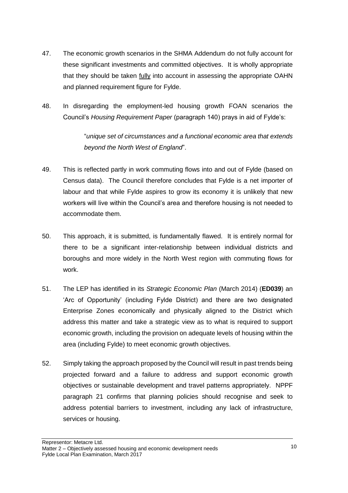- 47. The economic growth scenarios in the SHMA Addendum do not fully account for these significant investments and committed objectives. It is wholly appropriate that they should be taken fully into account in assessing the appropriate OAHN and planned requirement figure for Fylde.
- 48. In disregarding the employment-led housing growth FOAN scenarios the Council's *Housing Requirement Paper* (paragraph 140) prays in aid of Fylde's:

"*unique set of circumstances and a functional economic area that extends beyond the North West of England*".

- 49. This is reflected partly in work commuting flows into and out of Fylde (based on Census data). The Council therefore concludes that Fylde is a net importer of labour and that while Fylde aspires to grow its economy it is unlikely that new workers will live within the Council's area and therefore housing is not needed to accommodate them.
- 50. This approach, it is submitted, is fundamentally flawed. It is entirely normal for there to be a significant inter-relationship between individual districts and boroughs and more widely in the North West region with commuting flows for work.
- 51. The LEP has identified in its *Strategic Economic Plan* (March 2014) (**ED039**) an 'Arc of Opportunity' (including Fylde District) and there are two designated Enterprise Zones economically and physically aligned to the District which address this matter and take a strategic view as to what is required to support economic growth, including the provision on adequate levels of housing within the area (including Fylde) to meet economic growth objectives.
- 52. Simply taking the approach proposed by the Council will result in past trends being projected forward and a failure to address and support economic growth objectives or sustainable development and travel patterns appropriately. NPPF paragraph 21 confirms that planning policies should recognise and seek to address potential barriers to investment, including any lack of infrastructure, services or housing.